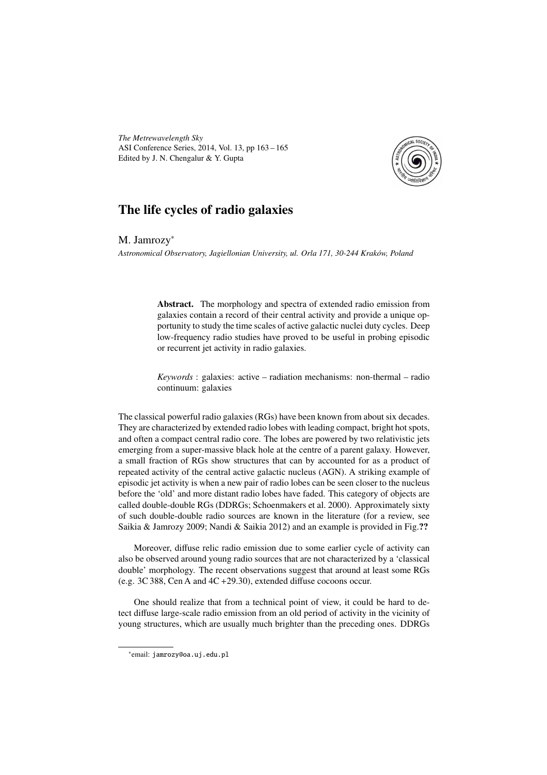*The Metrewavelength Sky* ASI Conference Series, 2014, Vol. 13, pp 163 – 165 Edited by J. N. Chengalur & Y. Gupta



## The life cycles of radio galaxies

M. Jamrozy<sup>∗</sup>

*Astronomical Observatory, Jagiellonian University, ul. Orla 171, 30-244 Kraków, Poland*

Abstract. The morphology and spectra of extended radio emission from galaxies contain a record of their central activity and provide a unique opportunity to study the time scales of active galactic nuclei duty cycles. Deep low-frequency radio studies have proved to be useful in probing episodic or recurrent jet activity in radio galaxies.

*Keywords* : galaxies: active – radiation mechanisms: non-thermal – radio continuum: galaxies

The classical powerful radio galaxies (RGs) have been known from about six decades. They are characterized by extended radio lobes with leading compact, bright hot spots, and often a compact central radio core. The lobes are powered by two relativistic jets emerging from a super-massive black hole at the centre of a parent galaxy. However, a small fraction of RGs show structures that can by accounted for as a product of repeated activity of the central active galactic nucleus (AGN). A striking example of episodic jet activity is when a new pair of radio lobes can be seen closer to the nucleus before the 'old' and more distant radio lobes have faded. This category of objects are called double-double RGs (DDRGs; Schoenmakers et al. 2000). Approximately sixty of such double-double radio sources are known in the literature (for a review, see Saikia & Jamrozy 2009; Nandi & Saikia 2012) and an example is provided in Fig.??

Moreover, diffuse relic radio emission due to some earlier cycle of activity can also be observed around young radio sources that are not characterized by a 'classical double' morphology. The recent observations suggest that around at least some RGs (e.g. 3C 388, Cen A and 4C +29.30), extended diffuse cocoons occur.

One should realize that from a technical point of view, it could be hard to detect diffuse large-scale radio emission from an old period of activity in the vicinity of young structures, which are usually much brighter than the preceding ones. DDRGs

<sup>∗</sup> email: jamrozy@oa.uj.edu.pl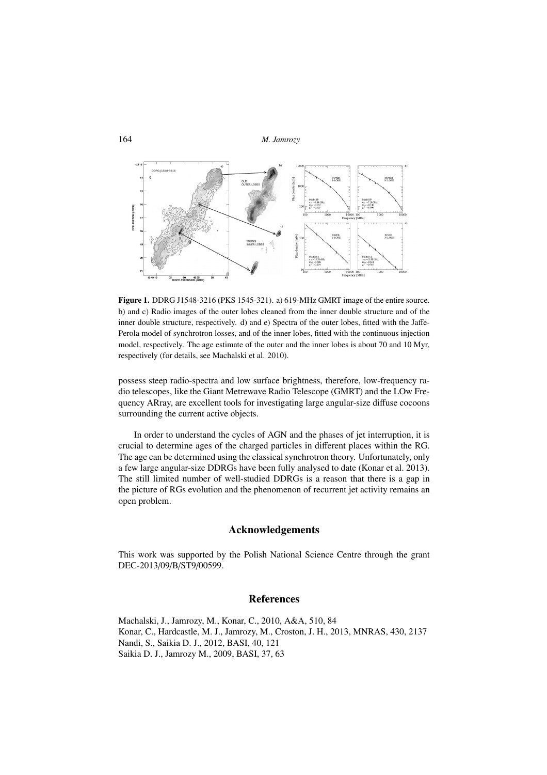```
164 M. Jamrozy
```


Figure 1. DDRG J1548-3216 (PKS 1545-321). a) 619-MHz GMRT image of the entire source. b) and c) Radio images of the outer lobes cleaned from the inner double structure and of the inner double structure, respectively. d) and e) Spectra of the outer lobes, fitted with the Jaffe-Perola model of synchrotron losses, and of the inner lobes, fitted with the continuous injection model, respectively. The age estimate of the outer and the inner lobes is about 70 and 10 Myr, respectively (for details, see Machalski et al. 2010).

possess steep radio-spectra and low surface brightness, therefore, low-frequency radio telescopes, like the Giant Metrewave Radio Telescope (GMRT) and the LOw Frequency ARray, are excellent tools for investigating large angular-size diffuse cocoons surrounding the current active objects.

In order to understand the cycles of AGN and the phases of jet interruption, it is crucial to determine ages of the charged particles in different places within the RG. The age can be determined using the classical synchrotron theory. Unfortunately, only a few large angular-size DDRGs have been fully analysed to date (Konar et al. 2013). The still limited number of well-studied DDRGs is a reason that there is a gap in the picture of RGs evolution and the phenomenon of recurrent jet activity remains an open problem.

## Acknowledgements

This work was supported by the Polish National Science Centre through the grant DEC-2013/09/B/ST9/00599.

## References

Machalski, J., Jamrozy, M., Konar, C., 2010, A&A, 510, 84 Konar, C., Hardcastle, M. J., Jamrozy, M., Croston, J. H., 2013, MNRAS, 430, 2137 Nandi, S., Saikia D. J., 2012, BASI, 40, 121 Saikia D. J., Jamrozy M., 2009, BASI, 37, 63